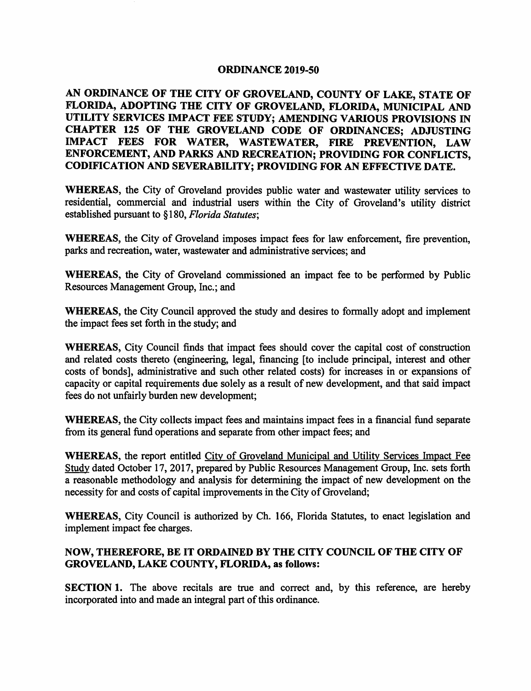### **ORDINANCE 2019-50**

# **AN ORDINANCE OF THE CITY OF GROVELAND, COUNTY OF LAKE, STATE OF FLORIDA, ADOPTING THE CITY OF GROVELAND, FLORIDA, MUNICIPAL AND UTILITY SERVICES IMPACT FEE STUDY; AMENDING VARIOUS PROVISIONS** IN **CHAPTER 125 OF THE GROVELAND CODE OF ORDINANCES; ADJUSTING IMPACT FEES FOR WATER, WASTEWATER, FIRE PREVENTION, LAW ENFORCEMENT, AND PARKS AND RECREATION; PROVIDING FOR CONFLICTS, CODIFICATION AND SEVERABILITY; PROVIDING FOR AN EFFECTIVE DATE.**

**WHEREAS,** the City of Groveland provides public water and wastewater utility services to residential, commercial and industrial users within the City of Groveland's utility district established pursuant to §180, *Florida Statutes;* 

**WHEREAS,** the City of Groveland imposes impact fees for law enforcement, fire prevention, parks and recreation, water, wastewater and administrative services; and

**WHEREAS,** the City of Groveland commissioned an impact fee to be performed by Public Resources Management Group, Inc.; and

**WHEREAS,** the City Council approved the study and desires to formally adopt and implement the impact fees set forth in the study; and

**WHEREAS,** City Council finds that impact fees should cover the capital cost of construction and related costs thereto (engineering, legal, financing [to include principal, interest and other costs of bonds], administrative and such other related costs) for increases in or expansions of capacity or capital requirements due solely as a result of new development, and that said impact fees do not unfairly burden new development;

**WHEREAS,** the City collects impact fees and maintains impact fees in a financial fund separate from its general fund operations and separate from other impact fees; and

**WHEREAS,** the report entitled City of Groveland Municipal and Utility Services Impact Fee Study dated October 17, 2017, prepared by Public Resources Management Group, Inc. sets forth a reasonable methodology and analysis for determining the impact of new development on the necessity for and costs of capital improvements in the City of Groveland;

**WHEREAS,** City Council is authorized by Ch. 166, Florida Statutes, to enact legislation and implement impact fee charges.

## **NOW, THEREFORE, BE IT ORDAINED BY THE CITY COUNCIL OF THE CITY OF GROVELAND, LAKE COUNTY, FLORIDA, as follows:**

**SECTION 1.** The above recitals are true and correct and, by this reference, are hereby incorporated into and made an integral part of this ordinance.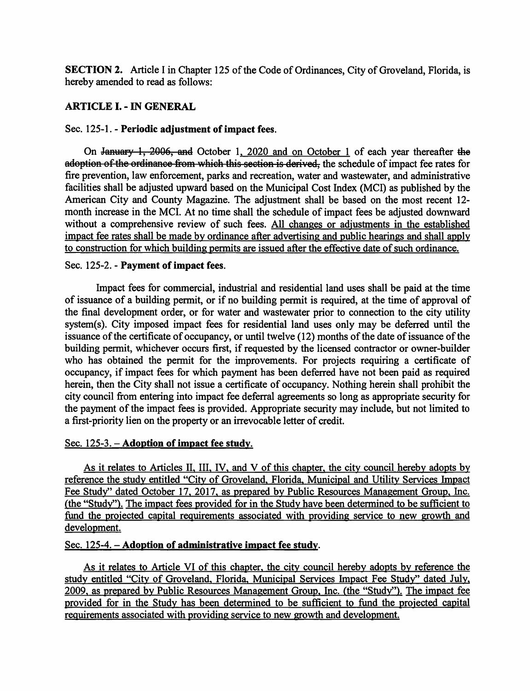**SECTION 2.** Article I in Chapter 125 of the Code of Ordinances, City of Groveland, Florida, is hereby amended to read as follows:

# **ARTICLE** I. - IN **GENERAL**

### Sec. 125-1. - **Periodic adjustment of impact fees.**

On January 1, 2006, and October 1, 2020 and on October 1 of each year thereafter the a<del>doption of the ordinance from which this section is derived,</del> the schedule of impact fee rates for fire prevention, law enforcement, parks and recreation, water and wastewater, and administrative facilities shall be adjusted upward based on the Municipal Cost Index (MCI) as published by the American City and County Magazine. The adjustment shall be based on the most recent 12 month increase in the MCI. At no time shall the schedule of impact fees be adjusted downward without a comprehensive review of such fees. All changes or adjustments in the established impact fee rates shall be made by ordinance after advertising and public hearings and shall apply to construction for which building permits are issued after the effective date of such ordinance.

## Sec. 125-2. - **Payment of impact fees.**

Impact fees for commercial, industrial and residential land uses shall be paid at the time of issuance of a building permit, or if no building permit is required, at the time of approval of the final development order, or for water and wastewater prior to connection to the city utility system(s). City imposed impact fees for residential land uses only may be deferred until the issuance of the certificate of occupancy, or until twelve (12) months of the date of issuance of the building permit, whichever occurs first, if requested by the licensed contractor or owner-builder who has obtained the permit for the improvements. For projects requiring a certificate of occupancy, if impact fees for which payment has been deferred have not been paid as required herein, then the City shall not issue a certificate of occupancy. Nothing herein shall prohibit the city council from entering into impact fee deferral agreements so long as appropriate security for the payment of the impact fees is provided. Appropriate security may include, but not limited to a first-priority lien on the property or an irrevocable letter of credit.

### Sec. 125-3. **-Adoption of impact fee study.**

As it relates to Articles II, III. IV, and V of this chapter, the city council hereby adopts by reference the study entitled "City of Groveland, Florida, Municipal and Utility Services Impact Fee Study" dated October 17, 2017, as prepared by Public Resources Management Group, Inc. (the "Study"). The impact fees provided for in the Study have been determined to be sufficient to fund the projected capital requirements associated with providing service to new growth and development.

### Sec. 125-4. - **Adoption of administrative impact fee study.**

As it relates to Article VI of this chapter, the city council hereby adopts by reference the study entitled "City of Groveland, Florida, Municipal Services Impact Fee Study'' dated July, 2009, as prepared by Public Resources Management Group, Inc. (the "Study"). The impact fee provided for in the Study has been determined to be sufficient to fund the projected capital requirements associated with providing service to new growth and development.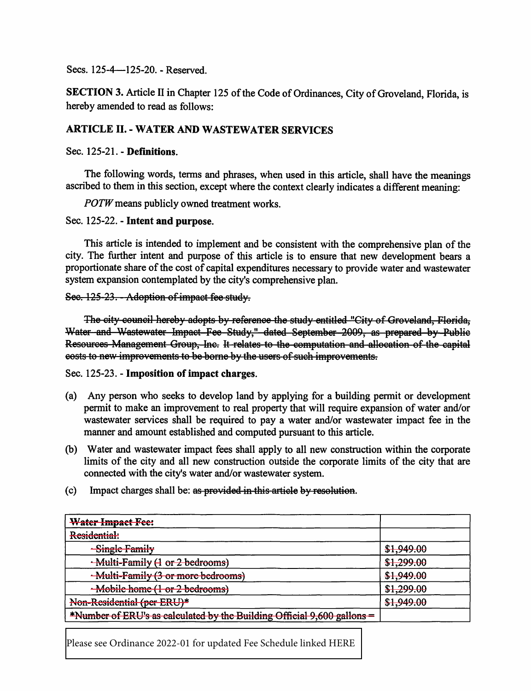Secs. 125-4-125-20. - Reserved.

**SECTION 3.** Article II in Chapter 125 of the Code of Ordinances, City of Groveland, Florida, is hereby amended to read as follows:

# **ARTICLE II. - WATER AND WASTEWATER SERVICES**

### Sec. 125-21. - Definitions.

The following words, terms and phrases, when used in this article, shall have the meanings ascribed to them in this section, except where the context clearly indicates a different meaning:

*POTW* means publicly owned treatment works.

Sec. 125-22. - Intent and purpose.

This article is intended to implement and be consistent with the comprehensive plan of the city. The further intent and purpose of this article is to ensure that new development bears a proportionate share of the cost of capital expenditures necessary to provide water and wastewater system expansion contemplated by the city's comprehensive plan.

Sec. 125-23. - Adoption of impact fee study.

The city council hereby adopts by reference the study entitled "City of Groveland, Florida, Water and Wastewater Impact Fee Study," dated September 2009, as prepared by Public Resources Management Group, Inc. It relates to the computation and allocation of the capital eosts to new improvements to be borne by the users of such improvements.

Sec. 125-23. - Imposition of impact charges.

- (a) Any person who seeks to develop land by applying for a building permit or development permit to make an improvement to real property that will require expansion of water and/or wastewater services shall be required to pay a water and/or wastewater impact fee in the manner and amount established and computed pursuant to this article.
- (b) Water and wastewater impact fees shall apply to all new construction within the corporate limits of the city and all new construction outside the corporate limits of the city that are connected with the city's water and/or wastewater system.
- $(c)$  Impact charges shall be: as provided in this article by resolution.

| <b>Water Impact Fee:</b>                                                |                                            |
|-------------------------------------------------------------------------|--------------------------------------------|
| Residential:                                                            |                                            |
| -Single Family                                                          | \$1,949.00                                 |
| -Multi-Family (1 or 2 bedrooms)                                         | \$1,299.00                                 |
| -Multi-Family (3 or more bedrooms)                                      | <u> 11 010 00</u><br><del>\$1,747.00</del> |
| Mobile home (1 or 2 bedrooms)                                           | \$1,299.00                                 |
| Non-Residential (per ERU)*                                              | \$1,949.00                                 |
| *Number of ERU's as calculated by the Building Official 9,600 gallons = |                                            |

Please see Ordinance 2022-01 for updated Fee Schedule linked HERE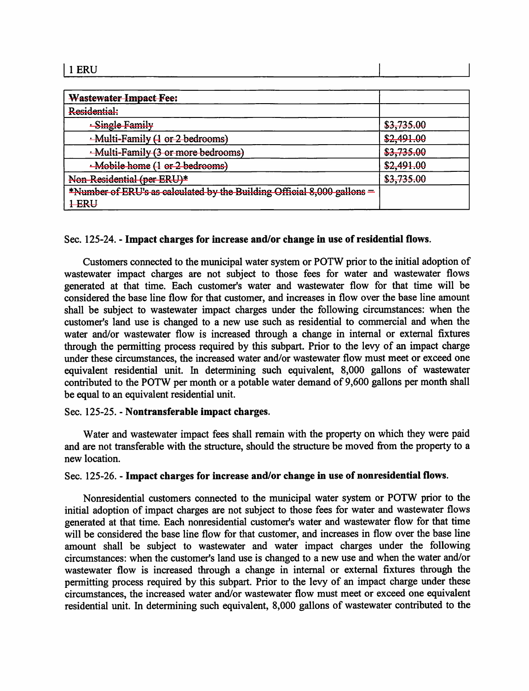| ERU  |  |
|------|--|
| ---- |  |

| <b>Wastewater Impact Fee:</b>                                           |            |
|-------------------------------------------------------------------------|------------|
| Residential:                                                            |            |
| -Single Family                                                          | \$3,735.00 |
| -Multi-Family (1 or 2 bedrooms)                                         | \$2,491.00 |
| -Multi-Family (3 or more bedrooms)                                      | \$3,735.00 |
| ·Mobile home (1 or 2 bedrooms)                                          | \$2,491.00 |
| Non-Residential (per ERU)*                                              | \$3,735.00 |
| *Number of ERU's as calculated by the Building Official 8,000 gallons = |            |
| <b>I-ERU</b>                                                            |            |

#### Sec. 125-24. - **Impact charges for increase and/or change** in **use of residential flows.**

Customers connected to the municipal water system or POTW prior to the initial adoption of wastewater impact charges are not subject to those fees for water and wastewater flows generated at that time. Each customer's water and wastewater flow for that time will be considered the base line flow for that customer, and increases in flow over the base line amount shall be subject to wastewater impact charges under the following circumstances: when the customer's land use is changed to a new use such as residential to commercial and when the water and/or wastewater flow is increased through a change in internal or external fixtures through the permitting process required by this subpart. Prior to the levy of an impact charge under these circumstances, the increased water and/or wastewater flow must meet or exceed one equivalent residential unit. In determining such equivalent, 8,000 gallons of wastewater contributed to the POTW per month or a potable water demand of 9,600 gallons per month shall be equal to an equivalent residential unit.

#### Sec. 125-25. - **Nontransferable impact charges.**

Water and wastewater impact fees shall remain with the property on which they were paid and are not transferable with the structure, should the structure be moved from the property to a new location.

#### Sec. 125-26. - **Impact charges for increase and/or change** in **use of nonresidential flows.**

Nonresidential customers connected to the municipal water system or POTW prior to the initial adoption of impact charges are not subject to those fees for water and wastewater flows generated at that time. Each nonresidential customer's water and wastewater flow for that time will be considered the base line flow for that customer, and increases in flow over the base line amount shall be subject to wastewater and water impact charges under the following circumstances: when the customer's land use is changed to a new use and when the water and/or wastewater flow is increased through a change in internal or external fixtures through the permitting process required by this subpart. Prior to the levy of an impact charge under these circumstances, the increased water and/or wastewater flow must meet or exceed one equivalent residential unit. In determining such equivalent, 8,000 gallons of wastewater contributed to the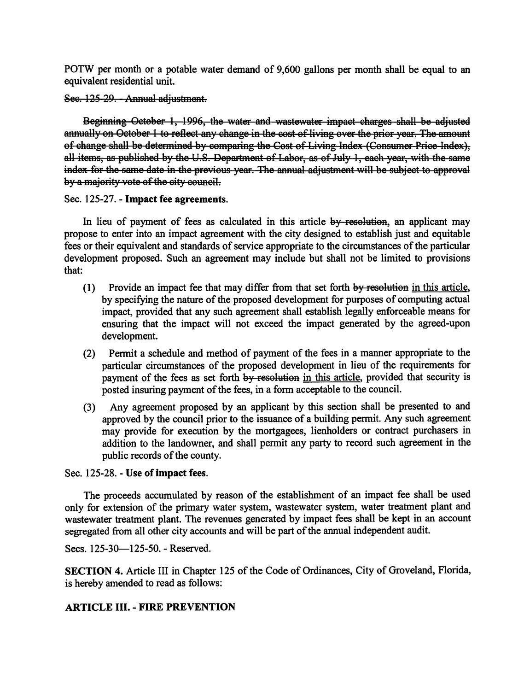POTW per month or a potable water demand of 9,600 gallons per month shall be equal to an equivalent residential unit.

Sec. 125-29. - Annual adjustment.

Beginning October 1, 1996, the water and wastewater impact charges shall be adjusted annually on October 1 to reflect any change in the cost of living over the prior year. The amount of change shall be determined by comparing the Cost of Living Index (Consumer Price Index), all items, as published by the U.S. Department of Labor, as of July 1, each year, with the same index for the same date in the previous year. The annual adjustment will be subject to approval by a majority vote of the city council.

Sec. 125-27. - Impact fee agreements.

In lieu of payment of fees as calculated in this article by resolution, an applicant may propose to enter into an impact agreement with the city designed to establish just and equitable fees or their equivalent and standards of service appropriate to the circumstances of the particular development proposed. Such an agreement may include but shall not be limited to provisions  $that:$ 

- Provide an impact fee that may differ from that set forth by resolution in this article,  $(1)$ by specifying the nature of the proposed development for purposes of computing actual impact, provided that any such agreement shall establish legally enforceable means for ensuring that the impact will not exceed the impact generated by the agreed-upon development.
- (2) Permit a schedule and method of payment of the fees in a manner appropriate to the particular circumstances of the proposed development in lieu of the requirements for payment of the fees as set forth by resolution in this article, provided that security is posted insuring payment of the fees, in a form acceptable to the council.
- (3) Any agreement proposed by an applicant by this section shall be presented to and approved by the council prior to the issuance of a building permit. Any such agreement may provide for execution by the mortgagees, lienholders or contract purchasers in addition to the landowner, and shall permit any party to record such agreement in the public records of the county.

Sec. 125-28. - Use of impact fees.

The proceeds accumulated by reason of the establishment of an impact fee shall be used only for extension of the primary water system, wastewater system, water treatment plant and wastewater treatment plant. The revenues generated by impact fees shall be kept in an account segregated from all other city accounts and will be part of the annual independent audit.

Secs. 125-30-125-50. - Reserved.

SECTION 4. Article III in Chapter 125 of the Code of Ordinances, City of Groveland, Florida, is hereby amended to read as follows:

# **ARTICLE III. - FIRE PREVENTION**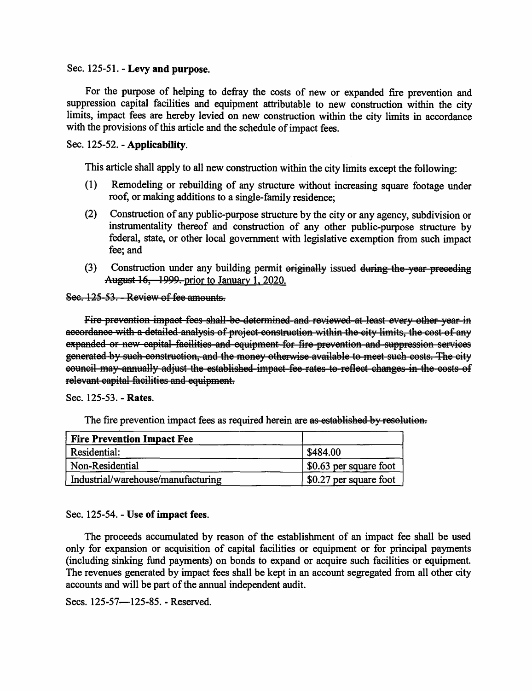#### Sec. 125-51. - Levy and purpose.

For the purpose of helping to defray the costs of new or expanded fire prevention and suppression capital facilities and equipment attributable to new construction within the city limits, impact fees are hereby levied on new construction within the city limits in accordance with the provisions of this article and the schedule of impact fees.

### Sec. 125-52. - Applicability.

This article shall apply to all new construction within the city limits except the following:

- Remodeling or rebuilding of any structure without increasing square footage under  $(1)$ roof, or making additions to a single-family residence;
- $(2)$ Construction of any public-purpose structure by the city or any agency, subdivision or instrumentality thereof and construction of any other public-purpose structure by federal, state, or other local government with legislative exemption from such impact fee: and
- (3) Construction under any building permit originally issued during the year preceding August 16, 1999, prior to January 1, 2020.

Sec.  $125-53$ . - Review of fee amounts.

Fire prevention impact fees shall be determined and reviewed at least every other year in accordance with a detailed analysis of project construction within the city limits, the cost of any expanded or new capital facilities and equipment for fire prevention and suppression services generated by such construction, and the money otherwise available to meet such costs. The city eouncil may annually adjust the established impact fee rates to reflect changes in the costs of relevant capital facilities and equipment.

Sec. 125-53. - Rates.

The fire prevention impact fees as required herein are as established by resolution.

| <b>Fire Prevention Impact Fee</b>  |                        |
|------------------------------------|------------------------|
| Residential:                       | \$484.00               |
| Non-Residential                    | \$0.63 per square foot |
| Industrial/warehouse/manufacturing | \$0.27 per square foot |

#### Sec. 125-54. - Use of impact fees.

The proceeds accumulated by reason of the establishment of an impact fee shall be used only for expansion or acquisition of capital facilities or equipment or for principal payments (including sinking fund payments) on bonds to expand or acquire such facilities or equipment. The revenues generated by impact fees shall be kept in an account segregated from all other city accounts and will be part of the annual independent audit.

Secs. 125-57-125-85. - Reserved.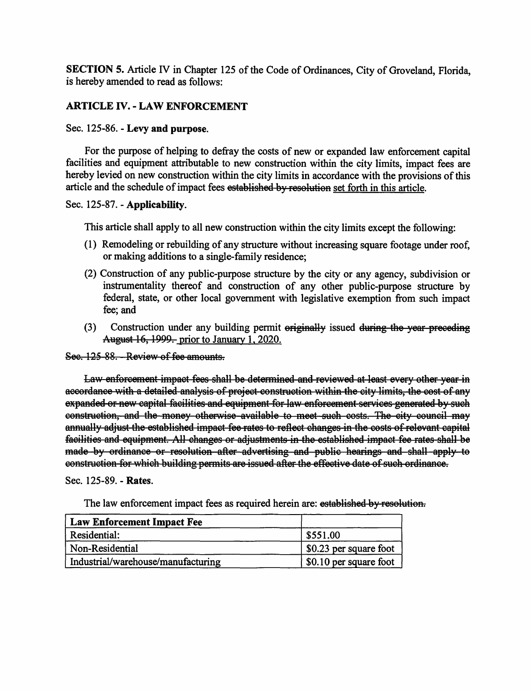**SECTION 5.** Article IV in Chapter 125 of the Code of Ordinances, City of Groveland, Florida, is hereby amended to read as follows:

# **ARTICLE** IV. - **LAW ENFORCEMENT**

## Sec. 125-86. - **Levy and purpose.**

For the purpose of helping to defray the costs of new or expanded law enforcement capital facilities and equipment attributable to new construction within the city limits, impact fees are hereby levied on new construction within the city limits in accordance with the provisions of this article and the schedule of impact fees established by resolution set forth in this article.

## Sec. 125-87. - **Applicability.**

This article shall apply to all new construction within the city limits except the following:

- (1) Remodeling or rebuilding of any structure without increasing square footage under roof, or making additions to a single-family residence;
- (2) Construction of any public-purpose structure by the city or any agency, subdivision or instrumentality thereof and construction of any other public-purpose structure by federal, state, or other local government with legislative exemption from such impact fee; and
- (3) Construction under any building permit  $\theta$  originally issued during the year-preceding August 16, 1999. prior to January 1, 2020.

See. 125 88. - Review of fee amounts.

Law enforcement impact fees shall be determined and reviewed at least every other year in aecordance with a detailed analysis of project construction within the city limits, the cost of any expanded or new capital facilities and equipment for law enforcement services generated by such eonstruction, and the money otherwise available to meet such costs. The city council may annually adjust the established impact fee rates to reflect changes in the costs of relevant capital facilities and equipment. All changes or adjustments in the established impact fee rates shall be made by ordinance or resolution after advertising and public hearings and shall apply to eonstruction for which building permits are issued after the effective date of such ordinance.

### Sec. 125-89. - **Rates.**

| The law enforcement impact fees as required herein are: established by resolution. |  |  |
|------------------------------------------------------------------------------------|--|--|
|------------------------------------------------------------------------------------|--|--|

| Law Enforcement Impact Fee         |                        |
|------------------------------------|------------------------|
| Residential:                       | \$551.00               |
| Non-Residential                    | \$0.23 per square foot |
| Industrial/warehouse/manufacturing | \$0.10 per square foot |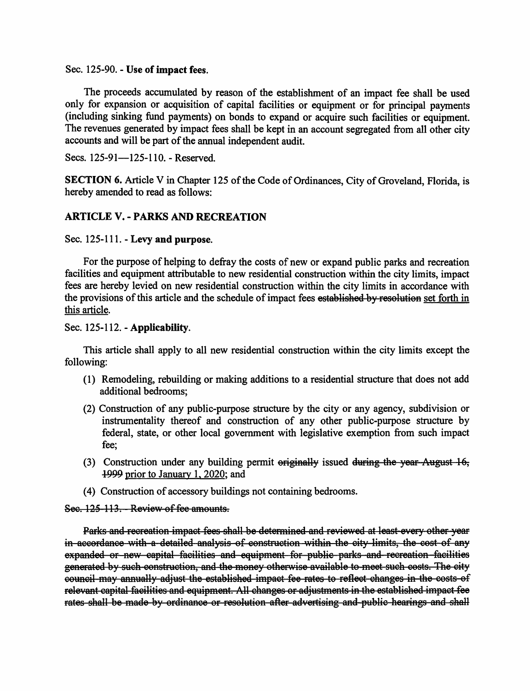Sec. 125-90. - **Use of impact fees.** 

The proceeds accumulated by reason of the establishment of an impact fee shall be used only for expansion or acquisition of capital facilities or equipment or for principal payments (including sinking fund payments) on bonds to expand or acquire such facilities or equipment. The revenues generated by impact fees shall be kept in an account segregated from all other city accounts and will be part of the annual independent audit.

Secs. 125-91-125-110. - Reserved.

**SECTION 6.** Article V in Chapter 125 of the Code of Ordinances, City of Groveland, Florida, is hereby amended to read as follows:

## **ARTICLE V.** - **PARKS AND RECREATION**

Sec. 125-111. - **Levy and purpose.** 

For the purpose of helping to defray the costs of new or expand public parks and recreation facilities and equipment attributable to new residential construction within the city limits, impact fees are hereby levied on new residential construction within the city limits in accordance with the provisions of this article and the schedule of impact fees established by resolution set forth in this article.

Sec. 125-112. - **Applicability.** 

This article shall apply to all new residential construction within the city limits except the following:

- (1) Remodeling, rebuilding or making additions to a residential structure that does not add additional bedrooms;
- (2) Construction of any public-purpose structure by the city or any agency, subdivision or instrumentality thereof and construction of any other public-purpose structure by federal, state, or other local government with legislative exemption from such impact fee;
- (3) Construction under any building permit  $\theta$  originally issued during the year August 16, *-1-999* prior to January 1, 2020; and
- (4) Construction of accessory buildings not containing bedrooms.

Sec.  $125 - 113$ . Review of fee amounts.

Parks and recreation impact fees shall be determined and reviewed at least every other year in accordance with a detailed analysis of construction within the city limits, the cost of any expanded or new capital facilities and equipment for public parks and recreation facilities generated by such construction, and the money otherwise available to meet such costs. The city eouncil may annually adjust the established impact fee rates to reflect changes in the costs of relevant capital facilities and equipment. All changes or adjustments in the established impact fee rates shall be made by ordinance or resolution after advertising and public hearings and shall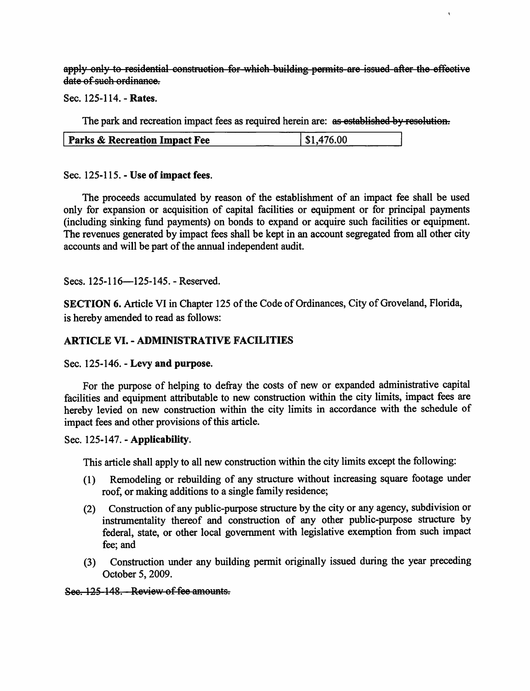apply only to residential construction for which building permits are issued after the effective date of such ordinance.

Sec. 125-114. - Rates.

The park and recreation impact fees as required herein are: as established by resolution.

| Parks & Recreation Impact Fee | \$1,476.00 |
|-------------------------------|------------|

Sec. 125-115. - Use of impact fees.

The proceeds accumulated by reason of the establishment of an impact fee shall be used only for expansion or acquisition of capital facilities or equipment or for principal payments (including sinking fund payments) on bonds to expand or acquire such facilities or equipment. The revenues generated by impact fees shall be kept in an account segregated from all other city accounts and will be part of the annual independent audit.

Secs. 125-116-125-145. - Reserved.

SECTION 6. Article VI in Chapter 125 of the Code of Ordinances, City of Groveland, Florida, is hereby amended to read as follows:

# **ARTICLE VI. - ADMINISTRATIVE FACILITIES**

Sec. 125-146. - Levy and purpose.

For the purpose of helping to defray the costs of new or expanded administrative capital facilities and equipment attributable to new construction within the city limits, impact fees are hereby levied on new construction within the city limits in accordance with the schedule of impact fees and other provisions of this article.

# Sec. 125-147. - Applicability.

This article shall apply to all new construction within the city limits except the following:

- Remodeling or rebuilding of any structure without increasing square footage under  $(1)$ roof, or making additions to a single family residence;
- Construction of any public-purpose structure by the city or any agency, subdivision or  $(2)$ instrumentality thereof and construction of any other public-purpose structure by federal, state, or other local government with legislative exemption from such impact fee: and
- Construction under any building permit originally issued during the year preceding  $(3)$ October 5, 2009.

### Sec. 125-148. - Review of fee amounts.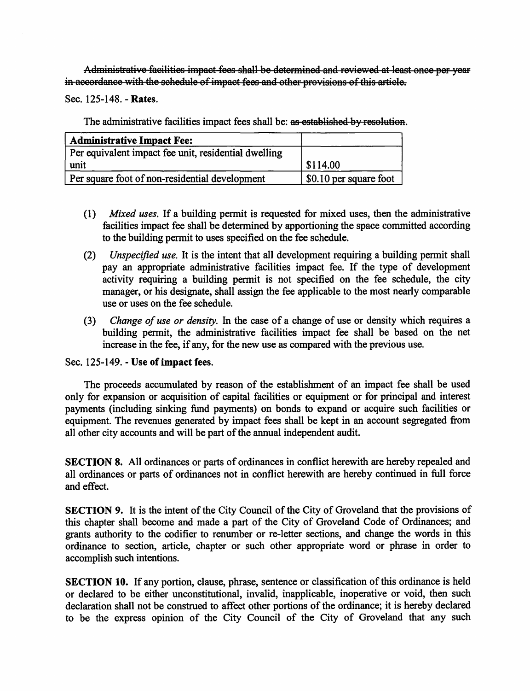Administrative facilities impact fees shall be determined and reviewed at least once per year in accordance with the schedule of impact fees and other provisions of this article.

Sec. 125-148. - Rates.

The administrative facilities impact fees shall be: as established by resolution.

| <b>Administrative Impact Fee:</b>                    |                        |
|------------------------------------------------------|------------------------|
| Per equivalent impact fee unit, residential dwelling |                        |
| unit                                                 | \$114.00               |
| Per square foot of non-residential development       | \$0.10 per square foot |

- (1) Mixed uses. If a building permit is requested for mixed uses, then the administrative facilities impact fee shall be determined by apportioning the space committed according to the building permit to uses specified on the fee schedule.
- $(2)$ *Unspecified use.* It is the intent that all development requiring a building permit shall pay an appropriate administrative facilities impact fee. If the type of development activity requiring a building permit is not specified on the fee schedule, the city manager, or his designate, shall assign the fee applicable to the most nearly comparable use or uses on the fee schedule.
- (3) Change of use or density. In the case of a change of use or density which requires a building permit, the administrative facilities impact fee shall be based on the net increase in the fee, if any, for the new use as compared with the previous use.

Sec. 125-149. - Use of impact fees.

The proceeds accumulated by reason of the establishment of an impact fee shall be used only for expansion or acquisition of capital facilities or equipment or for principal and interest payments (including sinking fund payments) on bonds to expand or acquire such facilities or equipment. The revenues generated by impact fees shall be kept in an account segregated from all other city accounts and will be part of the annual independent audit.

SECTION 8. All ordinances or parts of ordinances in conflict herewith are hereby repealed and all ordinances or parts of ordinances not in conflict herewith are hereby continued in full force and effect.

SECTION 9. It is the intent of the City Council of the City of Groveland that the provisions of this chapter shall become and made a part of the City of Groveland Code of Ordinances; and grants authority to the codifier to renumber or re-letter sections, and change the words in this ordinance to section, article, chapter or such other appropriate word or phrase in order to accomplish such intentions.

SECTION 10. If any portion, clause, phrase, sentence or classification of this ordinance is held or declared to be either unconstitutional, invalid, inapplicable, inoperative or void, then such declaration shall not be construed to affect other portions of the ordinance; it is hereby declared to be the express opinion of the City Council of the City of Groveland that any such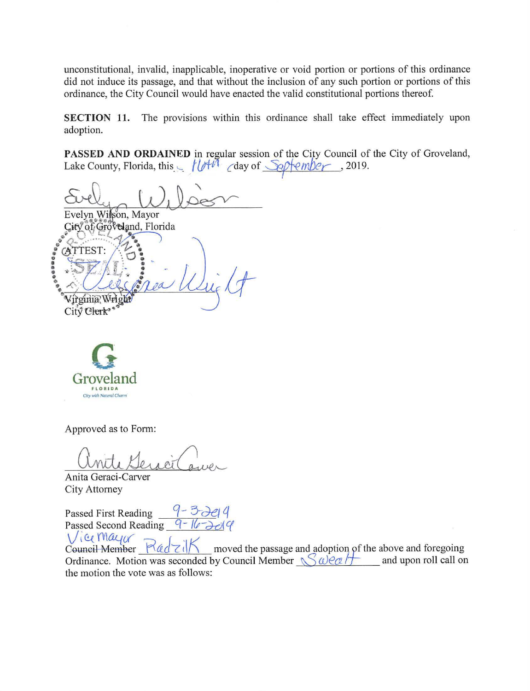unconstitutional, invalid, inapplicable, inoperative or void portion or portions of this ordinance did not induce its passage, and that without the inclusion of any such portion or portions of this ordinance, the City Council would have enacted the valid constitutional portions thereof.

**SECTION 11.** The provisions within this ordinance shall take effect immediately upon adoption.

PASSED AND ORDAINED in regular session of the City Council of the City of Groveland, adoption.<br>**PASSED AND ORDAINED** in regular session of the City Council of Lake County, Florida, this  $\leftarrow$  *flo*<sup>+*II*</sup> *c*day of *Softember*, 2019.

 $\frac{1011}{\sqrt{101}}$ Evelyn Wilson, Mayor City of Groveland, Florida ........... **CATTEST** Virginia W City<sup>\*</sup> Clerk<sup>\*</sup>



Approved as to Form:

Anite Général avec

Anita Geraci-Carver City Attorney

Passed First Reading Passed Second Reading

Vice Mayor Redzik moved the passage and adoption of the above and foregoing Ordinance. Motion was seconded by Council Member  $\mathcal{S} \omega e \alpha / f$  and upon roll call on the motion the vote was as follows: